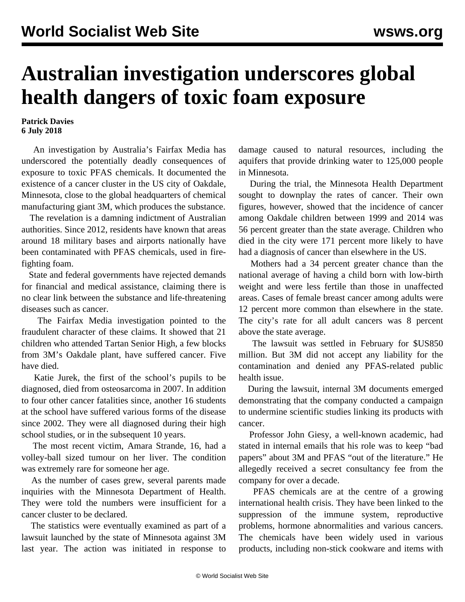## **Australian investigation underscores global health dangers of toxic foam exposure**

## **Patrick Davies 6 July 2018**

 An investigation by Australia's Fairfax Media has underscored the potentially deadly consequences of exposure to toxic PFAS chemicals. It documented the existence of a cancer cluster in the US city of Oakdale, Minnesota, close to the global headquarters of chemical manufacturing giant 3M, which produces the substance.

 The revelation is a damning indictment of Australian authorities. Since 2012, residents have known that areas around 18 military bases and airports nationally have been contaminated with PFAS chemicals, used in firefighting foam.

 State and federal governments have rejected demands for financial and medical assistance, claiming there is no clear link between the substance and life-threatening diseases such as cancer.

 The Fairfax Media investigation pointed to the fraudulent character of these claims. It showed that 21 children who attended Tartan Senior High, a few blocks from 3M's Oakdale plant, have suffered cancer. Five have died.

 Katie Jurek, the first of the school's pupils to be diagnosed, died from osteosarcoma in 2007. In addition to four other cancer fatalities since, another 16 students at the school have suffered various forms of the disease since 2002. They were all diagnosed during their high school studies, or in the subsequent 10 years.

 The most recent victim, Amara Strande, 16, had a volley-ball sized tumour on her liver. The condition was extremely rare for someone her age.

 As the number of cases grew, several parents made inquiries with the Minnesota Department of Health. They were told the numbers were insufficient for a cancer cluster to be declared.

 The statistics were eventually examined as part of a lawsuit launched by the state of Minnesota against 3M last year. The action was initiated in response to damage caused to natural resources, including the aquifers that provide drinking water to 125,000 people in Minnesota.

 During the trial, the Minnesota Health Department sought to downplay the rates of cancer. Their own figures, however, showed that the incidence of cancer among Oakdale children between 1999 and 2014 was 56 percent greater than the state average. Children who died in the city were 171 percent more likely to have had a diagnosis of cancer than elsewhere in the US.

 Mothers had a 34 percent greater chance than the national average of having a child born with low-birth weight and were less fertile than those in unaffected areas. Cases of female breast cancer among adults were 12 percent more common than elsewhere in the state. The city's rate for all adult cancers was 8 percent above the state average.

 The lawsuit was settled in February for \$US850 million. But 3M did not accept any liability for the contamination and denied any PFAS-related public health issue.

 During the lawsuit, internal 3M documents emerged demonstrating that the company conducted a campaign to undermine scientific studies linking its products with cancer.

 Professor John Giesy, a well-known academic, had stated in internal emails that his role was to keep "bad papers" about 3M and PFAS "out of the literature." He allegedly received a secret consultancy fee from the company for over a decade.

 PFAS chemicals are at the centre of a growing international health crisis. They have been linked to the suppression of the immune system, reproductive problems, hormone abnormalities and various cancers. The chemicals have been widely used in various products, including non-stick cookware and items with